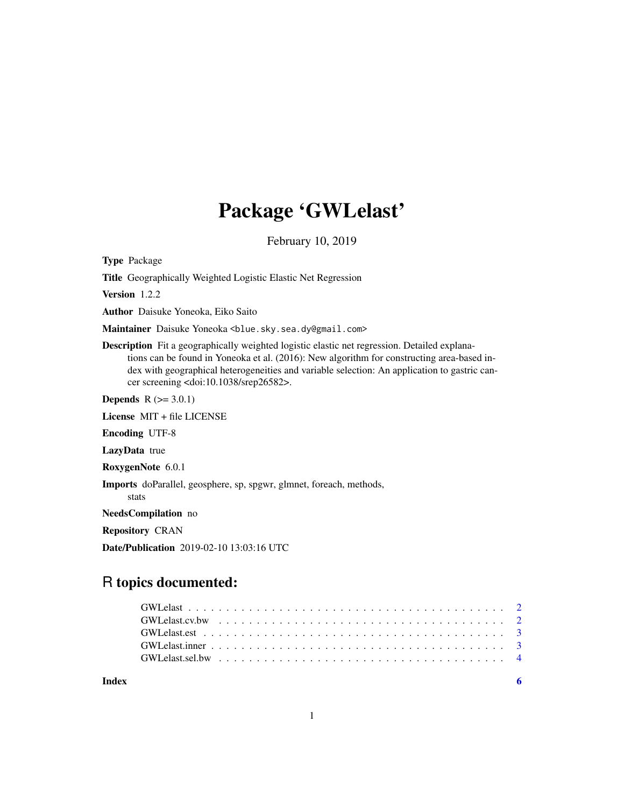# Package 'GWLelast'

February 10, 2019

Type Package

Title Geographically Weighted Logistic Elastic Net Regression

Version 1.2.2

Author Daisuke Yoneoka, Eiko Saito

Maintainer Daisuke Yoneoka <blue.sky.sea.dy@gmail.com>

Description Fit a geographically weighted logistic elastic net regression. Detailed explanations can be found in Yoneoka et al. (2016): New algorithm for constructing area-based index with geographical heterogeneities and variable selection: An application to gastric cancer screening <doi:10.1038/srep26582>.

**Depends**  $R (= 3.0.1)$ 

License MIT + file LICENSE

Encoding UTF-8

LazyData true

RoxygenNote 6.0.1

Imports doParallel, geosphere, sp, spgwr, glmnet, foreach, methods, stats

NeedsCompilation no

Repository CRAN

Date/Publication 2019-02-10 13:03:16 UTC

# R topics documented:

**Index** [6](#page-5-0) **6**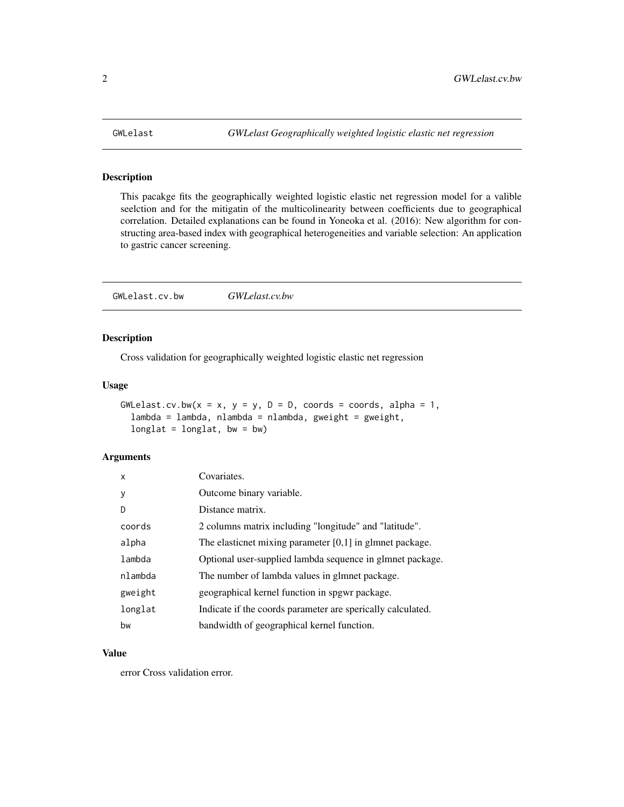<span id="page-1-0"></span>

#### Description

This pacakge fits the geographically weighted logistic elastic net regression model for a valible seelction and for the mitigatin of the multicolinearity between coefficients due to geographical correlation. Detailed explanations can be found in Yoneoka et al. (2016): New algorithm for constructing area-based index with geographical heterogeneities and variable selection: An application to gastric cancer screening.

GWLelast.cv.bw *GWLelast.cv.bw*

#### Description

Cross validation for geographically weighted logistic elastic net regression

#### Usage

GWLelast.cv.bw( $x = x$ ,  $y = y$ ,  $D = D$ , coords = coords, alpha = 1,  $lambda =$  lambda, nlambda = nlambda, gweight = gweight, longlat = longlat,  $bw = bw$ )

#### Arguments

| X       | Covariates.                                                 |
|---------|-------------------------------------------------------------|
| y       | Outcome binary variable.                                    |
| D       | Distance matrix.                                            |
| coords  | 2 columns matrix including "longitude" and "latitude".      |
| alpha   | The elasticnet mixing parameter $[0,1]$ in glmnet package.  |
| lambda  | Optional user-supplied lambda sequence in glmnet package.   |
| nlambda | The number of lambda values in glmnet package.              |
| gweight | geographical kernel function in spgwr package.              |
| longlat | Indicate if the coords parameter are sperically calculated. |
| bw      | bandwidth of geographical kernel function.                  |

#### Value

error Cross validation error.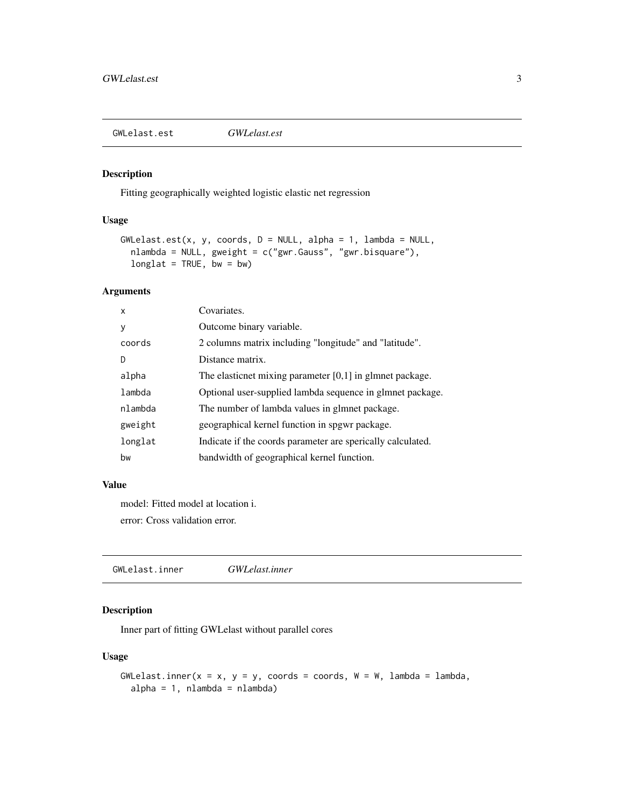<span id="page-2-0"></span>GWLelast.est *GWLelast.est*

#### Description

Fitting geographically weighted logistic elastic net regression

#### Usage

```
GWLelast.est(x, y, coords, D = NULL, alpha = 1, lambda = NULL,nlambda = NULL, gweight = c("gwr.Gauss", "gwr.bisquare"),
 longlat = TRUE, bw = bw)
```
#### Arguments

| x       | Covariates.                                                 |
|---------|-------------------------------------------------------------|
| y       | Outcome binary variable.                                    |
| coords  | 2 columns matrix including "longitude" and "latitude".      |
| D       | Distance matrix.                                            |
| alpha   | The elasticnet mixing parameter $[0,1]$ in glmnet package.  |
| lambda  | Optional user-supplied lambda sequence in glmnet package.   |
| nlambda | The number of lambda values in glmnet package.              |
| gweight | geographical kernel function in spgwr package.              |
| longlat | Indicate if the coords parameter are sperically calculated. |
| bw      | bandwidth of geographical kernel function.                  |

#### Value

model: Fitted model at location i.

error: Cross validation error.

GWLelast.inner *GWLelast.inner*

#### Description

Inner part of fitting GWLelast without parallel cores

#### Usage

```
GWLelast.inner(x = x, y = y, coords = coords, W = W, lambda = lambda,
  alpha = 1, nlambda = nlambda)
```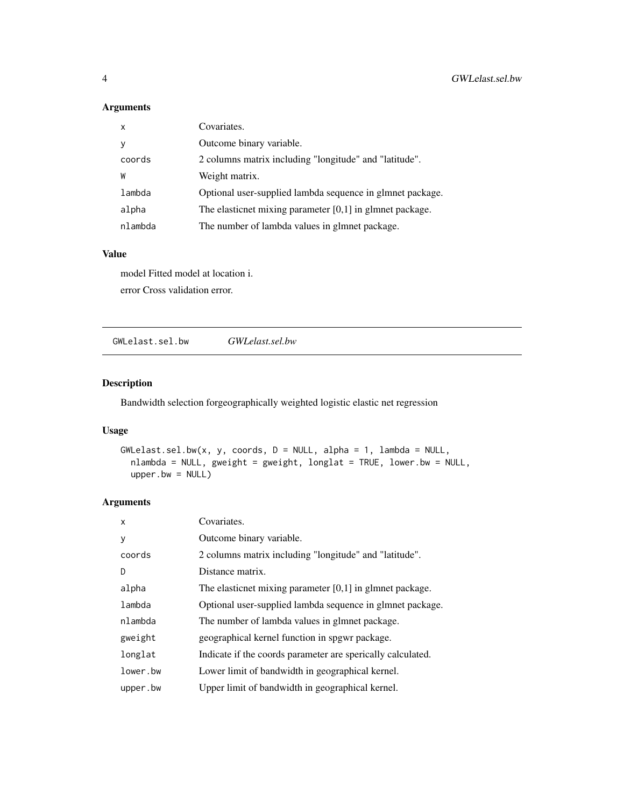#### <span id="page-3-0"></span>Arguments

| $\mathsf{x}$ | Covariates.                                                |
|--------------|------------------------------------------------------------|
| V            | Outcome binary variable.                                   |
| coords       | 2 columns matrix including "longitude" and "latitude".     |
| W            | Weight matrix.                                             |
| lambda       | Optional user-supplied lambda sequence in glmnet package.  |
| alpha        | The elasticnet mixing parameter $[0,1]$ in glmnet package. |
| nlambda      | The number of lambda values in glmnet package.             |
|              |                                                            |

#### Value

model Fitted model at location i. error Cross validation error.

GWLelast.sel.bw *GWLelast.sel.bw*

#### Description

Bandwidth selection forgeographically weighted logistic elastic net regression

#### Usage

```
GWLelast.sel.bw(x, y, coords, D = NULL, alpha = 1, lambda = NULL,
 nlambda = NULL, gweight = gweight, longlat = TRUE, lower.bw = NULL,
 upper.bw = NULL
```
#### Arguments

| X        | Covariates.                                                 |
|----------|-------------------------------------------------------------|
| y        | Outcome binary variable.                                    |
| coords   | 2 columns matrix including "longitude" and "latitude".      |
| D        | Distance matrix.                                            |
| alpha    | The elasticnet mixing parameter $[0,1]$ in glmnet package.  |
| lambda   | Optional user-supplied lambda sequence in glmnet package.   |
| nlambda  | The number of lambda values in glmnet package.              |
| gweight  | geographical kernel function in spgwr package.              |
| longlat  | Indicate if the coords parameter are sperically calculated. |
| lower.bw | Lower limit of bandwidth in geographical kernel.            |
| upper.bw | Upper limit of bandwidth in geographical kernel.            |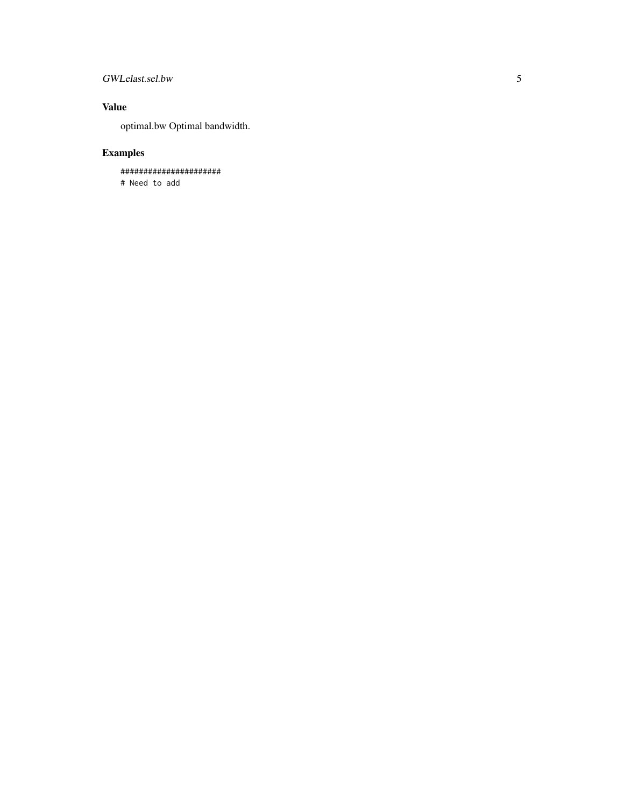#### GWLelast.sel.bw

### Value

optimal.bw Optimal bandwidth.

## Examples

```
######################
# Need to add
```